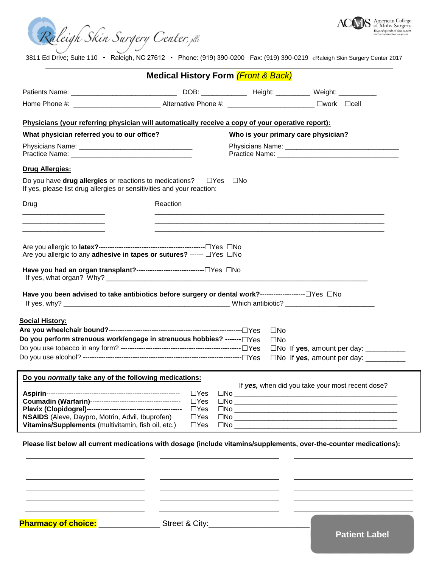



3811 Ed Drive; Suite 110 • Raleigh, NC 27612 • Phone: (919) 390-0200 Fax: (919) 390-0219 ®Raleigh Skin Surgery Center 2017

|                                                                                                                                                        | <b>Medical History Form (Front &amp; Back)</b>                     |                                     |                                                                                                                                                                                                                                                                                                                                                                                                                                                      |
|--------------------------------------------------------------------------------------------------------------------------------------------------------|--------------------------------------------------------------------|-------------------------------------|------------------------------------------------------------------------------------------------------------------------------------------------------------------------------------------------------------------------------------------------------------------------------------------------------------------------------------------------------------------------------------------------------------------------------------------------------|
|                                                                                                                                                        |                                                                    |                                     |                                                                                                                                                                                                                                                                                                                                                                                                                                                      |
| Home Phone #: _________________________________Alternative Phone #: _______________________________ [Nork Clcell                                       |                                                                    |                                     |                                                                                                                                                                                                                                                                                                                                                                                                                                                      |
| Physicians (your referring physician will automatically receive a copy of your operative report):                                                      |                                                                    |                                     |                                                                                                                                                                                                                                                                                                                                                                                                                                                      |
| What physician referred you to our office?                                                                                                             |                                                                    | Who is your primary care physician? |                                                                                                                                                                                                                                                                                                                                                                                                                                                      |
|                                                                                                                                                        |                                                                    |                                     |                                                                                                                                                                                                                                                                                                                                                                                                                                                      |
| <b>Drug Allergies:</b>                                                                                                                                 |                                                                    |                                     |                                                                                                                                                                                                                                                                                                                                                                                                                                                      |
| Do you have <b>drug allergies</b> or reactions to medications? $\square$ Yes<br>If yes, please list drug allergies or sensitivities and your reaction: |                                                                    | $\square$ No                        |                                                                                                                                                                                                                                                                                                                                                                                                                                                      |
| Drug                                                                                                                                                   | Reaction                                                           |                                     |                                                                                                                                                                                                                                                                                                                                                                                                                                                      |
|                                                                                                                                                        |                                                                    |                                     |                                                                                                                                                                                                                                                                                                                                                                                                                                                      |
| Are you allergic to any adhesive in tapes or sutures? ------ □ Yes □ No                                                                                |                                                                    |                                     |                                                                                                                                                                                                                                                                                                                                                                                                                                                      |
| Have you had an organ transplant?--------------------------------□ Yes □ No                                                                            |                                                                    |                                     |                                                                                                                                                                                                                                                                                                                                                                                                                                                      |
| <u>Social History:</u><br>Do you perform strenuous work/engage in strenuous hobbies? ------- □ Yes                                                     |                                                                    | $\square$ No<br>$\square$ No        | $\square$ No If yes, amount per day: $\_\_\_\_\_\_\_\_\_\_\_\_\_\_\_\_\_\_$<br>$\square$ No If yes, amount per day: $\square$                                                                                                                                                                                                                                                                                                                        |
| Do you normally take any of the following medications:                                                                                                 |                                                                    |                                     |                                                                                                                                                                                                                                                                                                                                                                                                                                                      |
| NSAIDS (Aleve, Daypro, Motrin, Advil, Ibuprofen)<br>Vitamins/Supplements (multivitamin, fish oil, etc.)                                                | $\Box$ Yes<br>$\Box$ Yes<br>$\Box$ Yes<br>$\Box$ Yes<br>$\Box$ Yes |                                     | If yes, when did you take your most recent dose?<br>$\Box No$<br>$\Box No$<br>$\Box No \begin{picture}(10,10) \put(0,0){\vector(1,0){100}} \put(15,0){\vector(1,0){100}} \put(15,0){\vector(1,0){100}} \put(15,0){\vector(1,0){100}} \put(15,0){\vector(1,0){100}} \put(15,0){\vector(1,0){100}} \put(15,0){\vector(1,0){100}} \put(15,0){\vector(1,0){100}} \put(15,0){\vector(1,0){100}} \put(15,0){\vector(1,0){100}} \put(15,0){\vector(1,0){10$ |
| Please list below all current medications with dosage (include vitamins/supplements, over-the-counter medications):                                    |                                                                    |                                     |                                                                                                                                                                                                                                                                                                                                                                                                                                                      |
|                                                                                                                                                        |                                                                    |                                     |                                                                                                                                                                                                                                                                                                                                                                                                                                                      |
|                                                                                                                                                        |                                                                    |                                     |                                                                                                                                                                                                                                                                                                                                                                                                                                                      |
|                                                                                                                                                        |                                                                    |                                     |                                                                                                                                                                                                                                                                                                                                                                                                                                                      |
| Pharmacy of choice: ___________________Street & City:___________________________                                                                       |                                                                    |                                     |                                                                                                                                                                                                                                                                                                                                                                                                                                                      |